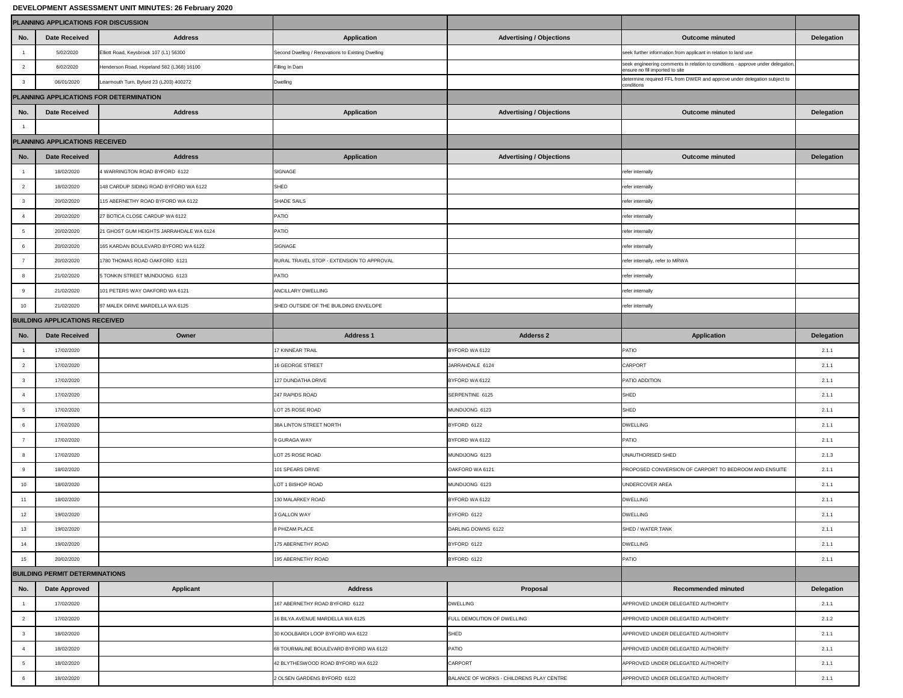## **DEVELOPMENT ASSESSMENT UNIT MINUTES: 26 February 2020**

|                 | PLANNING APPLICATIONS FOR DISCUSSION  |                                           |                                                    |                                          |                                                                                                                    |                   |
|-----------------|---------------------------------------|-------------------------------------------|----------------------------------------------------|------------------------------------------|--------------------------------------------------------------------------------------------------------------------|-------------------|
| No.             | <b>Date Received</b>                  | <b>Address</b>                            | <b>Application</b>                                 | <b>Advertising / Objections</b>          | <b>Outcome minuted</b>                                                                                             | <b>Delegation</b> |
|                 | 5/02/2020                             | Elliott Road, Keysbrook 107 (L1) 56300    | Second Dwelling / Renovations to Existing Dwelling |                                          | seek further information from applicant in relation to land use                                                    |                   |
| 2               | 6/02/2020                             | Henderson Road, Hopeland 582 (L368) 16100 | Filling In Dam                                     |                                          | seek engineering comments in relation to conditions - approve under delegation,<br>ensure no fill imported to site |                   |
|                 | 06/01/2020                            | Learmouth Turn, Byford 23 (L203) 400272   | <b>Dwelling</b>                                    |                                          | determine required FFL from DWER and approve under delegation subject to<br>conditions                             |                   |
|                 |                                       | PLANNING APPLICATIONS FOR DETERMINATION   |                                                    |                                          |                                                                                                                    |                   |
| No.             | <b>Date Received</b>                  | <b>Address</b>                            | <b>Application</b>                                 | <b>Advertising / Objections</b>          | <b>Outcome minuted</b>                                                                                             | <b>Delegation</b> |
|                 |                                       |                                           |                                                    |                                          |                                                                                                                    |                   |
|                 | PLANNING APPLICATIONS RECEIVED        |                                           |                                                    |                                          |                                                                                                                    |                   |
| No.             | <b>Date Received</b>                  | <b>Address</b>                            | <b>Application</b>                                 | <b>Advertising / Objections</b>          | <b>Outcome minuted</b>                                                                                             | <b>Delegation</b> |
|                 | 18/02/2020                            | 4 WARRINGTON ROAD BYFORD 6122             | <b>SIGNAGE</b>                                     |                                          | refer internally                                                                                                   |                   |
| $\overline{2}$  | 18/02/2020                            | 148 CARDUP SIDING ROAD BYFORD WA 6122     | SHED                                               |                                          | refer internally                                                                                                   |                   |
|                 | 20/02/2020                            | 115 ABERNETHY ROAD BYFORD WA 6122         | SHADE SAILS                                        |                                          | refer internally                                                                                                   |                   |
|                 | 20/02/2020                            | 27 BOTICA CLOSE CARDUP WA 6122            | PATIO                                              |                                          | refer internally                                                                                                   |                   |
| $5\overline{)}$ | 20/02/2020                            | 21 GHOST GUM HEIGHTS JARRAHDALE WA 6124   | <b>PATIO</b>                                       |                                          | refer internally                                                                                                   |                   |
|                 | 20/02/2020                            | 165 KARDAN BOULEVARD BYFORD WA 6122       | <b>SIGNAGE</b>                                     |                                          | refer internally                                                                                                   |                   |
|                 | 20/02/2020                            | 1780 THOMAS ROAD OAKFORD 6121             | RURAL TRAVEL STOP - EXTENSION TO APPROVAL          |                                          | refer internally, refer to MRWA                                                                                    |                   |
|                 | 21/02/2020                            | 5 TONKIN STREET MUNDIJONG 6123            | <b>PATIO</b>                                       |                                          | refer internally                                                                                                   |                   |
| -9              | 21/02/2020                            | 101 PETERS WAY OAKFORD WA 6121            | ANCILLARY DWELLING                                 |                                          | refer internally                                                                                                   |                   |
| 10              | 21/02/2020                            | 97 MALEK DRIVE MARDELLA WA 6125           | SHED OUTSIDE OF THE BUILDING ENVELOPE              |                                          | refer internally                                                                                                   |                   |
|                 | <b>BUILDING APPLICATIONS RECEIVED</b> |                                           |                                                    |                                          |                                                                                                                    |                   |
| No.             | <b>Date Received</b>                  | Owner                                     | <b>Address 1</b>                                   | <b>Adderss 2</b>                         | <b>Application</b>                                                                                                 | <b>Delegation</b> |
|                 | 17/02/2020                            |                                           | 17 KINNEAR TRAIL                                   | BYFORD WA 6122                           | PATIO                                                                                                              | 2.1.1             |
| $\overline{2}$  | 17/02/2020                            |                                           | <b>16 GEORGE STREET</b>                            | JARRAHDALE 6124                          | <b>CARPORT</b>                                                                                                     | 2.1.1             |
| $\mathbf{3}$    | 17/02/2020                            |                                           | 127 DUNDATHA DRIVE                                 | BYFORD WA 6122                           | <b>PATIO ADDITION</b>                                                                                              | 2.1.1             |
|                 | 17/02/2020                            |                                           | 247 RAPIDS ROAD                                    | SERPENTINE 6125                          | <b>SHED</b>                                                                                                        | 2.1.1             |
|                 | 17/02/2020                            |                                           | LOT 25 ROSE ROAD                                   | MUNDIJONG 6123                           | SHED                                                                                                               | 2.1.1             |
|                 | 17/02/2020                            |                                           | 38A LINTON STREET NORTH                            | BYFORD 6122                              | <b>DWELLING</b>                                                                                                    | 2.1.1             |
| $\overline{7}$  | 17/02/2020                            |                                           | 9 GURAGA WAY                                       | BYFORD WA 6122                           | PATIO                                                                                                              | 2.1.1             |
|                 | 17/02/2020                            |                                           | LOT 25 ROSE ROAD                                   | MUNDIJONG 6123                           | UNAUTHORISED SHED                                                                                                  | 2.1.3             |
|                 | 18/02/2020                            |                                           | 101 SPEARS DRIVE                                   | OAKFORD WA 6121                          | PROPOSED CONVERSION OF CARPORT TO BEDROOM AND ENSUITE                                                              | 2.1.1             |
| 10              | 18/02/2020                            |                                           | LOT 1 BISHOP ROAD                                  | MUNDIJONG 6123                           | UNDERCOVER AREA                                                                                                    | 2.1.1             |
| 11              | 18/02/2020                            |                                           | 130 MALARKEY ROAD                                  | BYFORD WA 6122                           | <b>DWELLING</b>                                                                                                    | 2.1.1             |
| 12              | 19/02/2020                            |                                           | 3 GALLON WAY                                       | BYFORD 6122                              | <b>DWELLING</b>                                                                                                    | 2.1.1             |
| 13              | 19/02/2020                            |                                           | 8 PHIZAM PLACE                                     | DARLING DOWNS 6122                       | SHED / WATER TANK                                                                                                  | 2.1.1             |
| 14              | 19/02/2020                            |                                           | 175 ABERNETHY ROAD                                 | BYFORD 6122                              | <b>DWELLING</b>                                                                                                    | 2.1.1             |
| 15              | 20/02/2020                            |                                           | 195 ABERNETHY ROAD                                 | BYFORD 6122                              | PATIO                                                                                                              | 2.1.1             |
|                 | <b>BUILDING PERMIT DETERMINATIONS</b> |                                           |                                                    |                                          |                                                                                                                    |                   |
| No.             | <b>Date Approved</b>                  | <b>Applicant</b>                          | <b>Address</b>                                     | Proposal                                 | <b>Recommended minuted</b>                                                                                         | <b>Delegation</b> |
|                 | 17/02/2020                            |                                           | 167 ABERNETHY ROAD BYFORD 6122                     | <b>DWELLING</b>                          | APPROVED UNDER DELEGATED AUTHORITY                                                                                 | 2.1.1             |
| $\overline{2}$  | 17/02/2020                            |                                           | 16 BILYA AVENUE MARDELLA WA 6125                   | <b>FULL DEMOLITION OF DWELLING</b>       | APPROVED UNDER DELEGATED AUTHORITY                                                                                 | 2.1.2             |
|                 | 18/02/2020                            |                                           | 30 KOOLBARDI LOOP BYFORD WA 6122                   | <b>SHED</b>                              | APPROVED UNDER DELEGATED AUTHORITY                                                                                 | 2.1.1             |
|                 | 18/02/2020                            |                                           | 68 TOURMALINE BOULEVARD BYFORD WA 6122             | <b>PATIO</b>                             | APPROVED UNDER DELEGATED AUTHORITY                                                                                 | 2.1.1             |
|                 | 18/02/2020                            |                                           | 42 BLYTHESWOOD ROAD BYFORD WA 6122                 | <b>CARPORT</b>                           | APPROVED UNDER DELEGATED AUTHORITY                                                                                 | 2.1.1             |
|                 | 18/02/2020                            |                                           | 2 OLSEN GARDENS BYFORD 6122                        | BALANCE OF WORKS - CHILDRENS PLAY CENTRE | APPROVED UNDER DELEGATED AUTHORITY                                                                                 | 2.1.1             |
|                 |                                       |                                           |                                                    |                                          |                                                                                                                    |                   |

| <b>Delegation</b>          |
|----------------------------|
|                            |
|                            |
|                            |
|                            |
|                            |
| <b>Delegation</b>          |
|                            |
|                            |
| <b>Delegation</b>          |
|                            |
|                            |
|                            |
|                            |
|                            |
|                            |
|                            |
|                            |
|                            |
|                            |
|                            |
|                            |
| <b>Delegation</b>          |
|                            |
|                            |
| 2.1.1                      |
| 2.1.1                      |
| 2.1.1                      |
| 2.1.1                      |
| 2.1.1                      |
| 2.1.1                      |
| 2.1.1                      |
| 2.1.3                      |
| 2.1.1                      |
|                            |
| 2.1.1                      |
| 2.1.1                      |
| 2.1.1                      |
| 2.1.1                      |
| 2.1.1                      |
| 2.1.1                      |
|                            |
|                            |
| <b>Delegation</b><br>2.1.1 |
|                            |
| 2.1.2                      |
| 2.1.1                      |
| 2.1.1                      |
| 2.1.1                      |